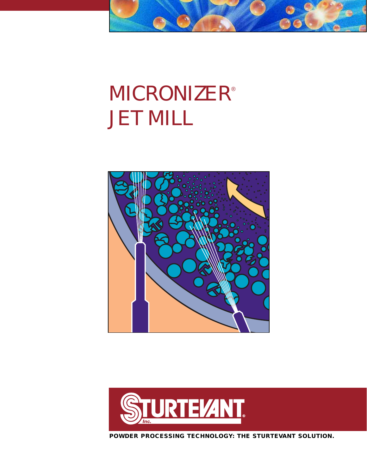# **MICRONIZER®** JET MILL

 $\bigcirc$ 

Œ





**POWDER PROCESSING TECHNOLOGY: THE STURTEVANT SOLUTION.**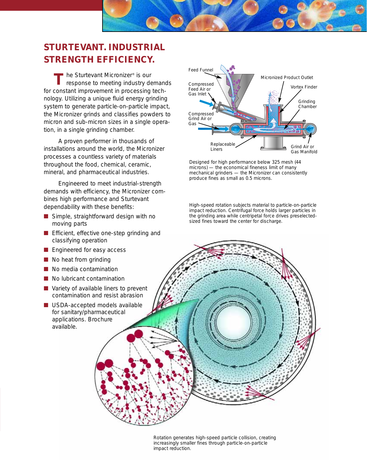## **STURTEVANT. INDUSTRIAL STRENGTH EFFICIENCY.**

T he Sturtevant Micronizer<sup>®</sup> is our<br> **T** response to meeting industry de response to meeting industry demands for constant improvement in processing technology. Utilizing a unique fluid energy grinding system to generate particle-on-particle impact, the Micronizer grinds and classifies powders to micron and sub-micron sizes in a single operation, in a single grinding chamber.

A proven performer in thousands of installations around the world, the Micronizer processes a countless variety of materials throughout the food, chemical, ceramic, mineral, and pharmaceutical industries.

Engineered to meet industrial-strength demands with efficiency, the Micronizer combines high performance and Sturtevant dependability with these benefits:

- Simple, straightforward design with no moving parts
- Efficient, effective one-step grinding and classifying operation
- Engineered for easy access
- No heat from grinding
- No media contamination
- No lubricant contamination
- Variety of available liners to prevent contamination and resist abrasion
- USDA-accepted models available for sanitary/pharmaceutical applications. Brochure available.



Designed for high performance below 325 mesh (44 microns) — the economical fineness limit of many mechanical grinders — the Micronizer can consistently produce fines as small as 0.5 microns.

High-speed rotation subjects material to particle-on-particle impact reduction. Centrifugal force holds larger particles in the grinding area while centripetal force drives preselectedsized fines toward the center for discharge.

Rotation generates high-speed particle collision, creating increasingly smaller fines through particle-on-particle impact reduction.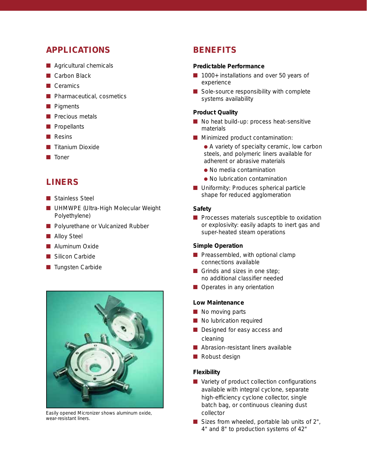## **APPLICATIONS**

- Agricultural chemicals
- Carbon Black
- Ceramics
- Pharmaceutical, cosmetics
- Pigments
- **D** Precious metals
- Propellants
- Resins
- **Titanium Dioxide**
- **Toner**

## **LINERS**

- Stainless Steel
- UHMWPE (Ultra-High Molecular Weight Polyethylene)
- Polyurethane or Vulcanized Rubber
- Alloy Steel
- Aluminum Oxide
- Silicon Carbide
- Tungsten Carbide



Easily opened Micronizer shows aluminum oxide, wear-resistant liners.

## **BENEFITS**

#### **Predictable Performance**

- 1000+ installations and over 50 years of experience
- Sole-source responsibility with complete systems availability

#### **Product Quality**

- No heat build-up: process heat-sensitive materials
- Minimized product contamination:
	- A variety of specialty ceramic, low carbon steels, and polymeric liners available for adherent or abrasive materials
	- No media contamination
	- No lubrication contamination
- Uniformity: Produces spherical particle shape for reduced agglomeration

#### **Safety**

■ Processes materials susceptible to oxidation or explosivity: easily adapts to inert gas and super-heated steam operations

#### **Simple Operation**

- Preassembled, with optional clamp connections available
- Grinds and sizes in one step; no additional classifier needed
- Operates in any orientation

#### **Low Maintenance**

- No moving parts
- No lubrication required
- Designed for easy access and cleaning
- Abrasion-resistant liners available
- Robust design

#### **Flexibility**

- Variety of product collection configurations available with integral cyclone, separate high-efficiency cyclone collector, single batch bag, or continuous cleaning dust collector
- $\blacksquare$  Sizes from wheeled, portable lab units of 2", 4" and 8" to production systems of 42"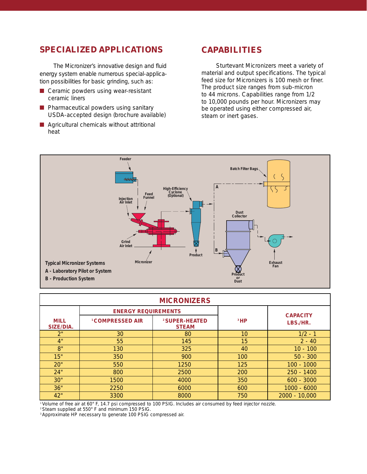## **SPECIALIZED APPLICATIONS**

The Micronizer's innovative design and fluid energy system enable numerous special-application possibilities for basic grinding, such as:

- Ceramic powders using wear-resistant ceramic liners
- Pharmaceutical powders using sanitary USDA-accepted design (brochure available)
- Agricultural chemicals without attritional heat

### **CAPABILITIES**

Sturtevant Micronizers meet a variety of material and output specifications. The typical feed size for Micronizers is 100 mesh or finer. The product size ranges from sub-micron to 44 microns. Capabilities range from 1/2 to 10,000 pounds per hour. Micronizers may be operated using either compressed air, steam or inert gases.



| <b>MICRONIZERS</b>       |                             |                                           |                 |                             |  |  |  |  |
|--------------------------|-----------------------------|-------------------------------------------|-----------------|-----------------------------|--|--|--|--|
|                          | <b>ENERGY REQUIREMENTS</b>  |                                           |                 | <b>CAPACITY</b><br>LBS./HR. |  |  |  |  |
| <b>MILL</b><br>SIZE/DIA. | <sup>1</sup> COMPRESSED AIR | <sup>2</sup> SUPER-HEATED<br><b>STEAM</b> | <sup>3</sup> HP |                             |  |  |  |  |
| 2"                       | 30                          | 80                                        | 10              | $1/2 - 1$                   |  |  |  |  |
| 4"                       | 55                          | 145                                       | 15              | $2 - 40$                    |  |  |  |  |
| 8"                       | 130                         | 325                                       | 40              | $10 - 100$                  |  |  |  |  |
| 15"                      | 350                         | 900                                       | 100             | $50 - 300$                  |  |  |  |  |
| 20"                      | 550                         | 1250                                      | 125             | $100 - 1000$                |  |  |  |  |
| 24"                      | 800                         | 2500                                      | 200             | $250 - 1400$                |  |  |  |  |
| 30"                      | 1500                        | 4000                                      | 350             | $600 - 3000$                |  |  |  |  |
| 36"                      | 2250                        | 6000                                      | 600             | $1000 - 6000$               |  |  |  |  |
| 42"                      | 3300                        | 8000                                      | 750             | $2000 - 10,000$             |  |  |  |  |

1 Volume of free air at 60° F, 14.7 psi compressed to 100 PSIG. Includes air consumed by feed injector nozzle.

2 Steam supplied at 550° F and minimum 150 PSIG.

<sup>3</sup> Approximate HP necessary to generate 100 PSIG compressed air.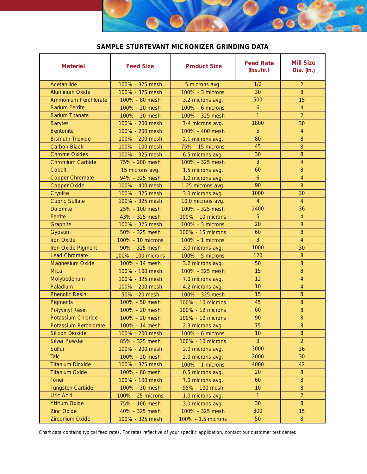

#### **SAMPLE STURTEVANT MICRONIZER GRINDING DATA**

| <b>Material</b>             | <b>Feed Size</b>   | <b>Product Size</b> | <b>Feed Rate</b><br>(lbs./hr.) | <b>Mill Size</b><br>Dia. (in.) |
|-----------------------------|--------------------|---------------------|--------------------------------|--------------------------------|
| Acetanilide                 | 100% - 325 mesh    | 5 microns avg.      | 1/2                            | $\overline{2}$                 |
| <b>Aluminum Oxide</b>       | 100% - 325 mesh    | 100% - 3 microns    | 30                             | 8                              |
| <b>Ammonium Perchlorate</b> | 100% - 80 mesh     | 3.2 microns avg.    | 500                            | 15                             |
| <b>Barium Ferrite</b>       | 100% - 20 mesh     | 100% - 6 microns    | $\boldsymbol{6}$               | $\overline{4}$                 |
| <b>Barium Titanate</b>      | 100% - 20 mesh     | 100% - 325 mesh     | $\mathbf{1}$                   | $\overline{2}$                 |
| <b>Barytes</b>              | 100% - 200 mesh    | 3-4 microns avg.    | 1800                           | 30                             |
| <b>Bentonite</b>            | 100% - 200 mesh    | 100% - 400 mesh     | 5                              | $\overline{4}$                 |
| <b>Bismuth Trioxide</b>     | 100% - 200 mesh    | 2.1 microns avg.    | 80                             | 8                              |
| <b>Carbon Black</b>         | 100% - 100 mesh    | 75% - 15 microns    | 45                             | 8                              |
| <b>Chrome Oxides</b>        | 100% - 325 mesh    | 6.5 microns avg.    | 30                             | 8                              |
| <b>Chromium Carbide</b>     | 75% - 200 mesh     | 100% - 325 mesh     | $\overline{3}$                 | $\overline{4}$                 |
| Cobalt                      | 15 microns avg.    | 1.5 microns avg.    | 60                             | 8                              |
| <b>Copper Chromate</b>      | 94% - 325 mesh     | 1.0 microns avg.    | $\mathbf{6}$                   | $\overline{4}$                 |
| <b>Copper Oxide</b>         | 100% - 400 mesh    | 1.25 microns avg.   | 90                             | 8                              |
| Cryolite                    | 100% - 325 mesh    | 3.0 microns avg.    | 1000                           | 30                             |
| <b>Cupric Sulfate</b>       | 100% - 325 mesh    | 10.0 microns avg.   | $\overline{4}$                 | $\overline{4}$                 |
| <b>Dolomite</b>             | 25% - 100 mesh     | 100% - 325 mesh     | 2400                           | 36                             |
| Ferrite                     | 43% - 325 mesh     | 100% - 10 microns   | $\overline{5}$                 | 4                              |
| Graphite                    | 100% - 325 mesh    | 100% - 3 microns    | 20                             | 8                              |
| Gypsum                      | 50% - 325 mesh     | 100% - 15 microns   | 60                             | 8                              |
| <b>Iron Oxide</b>           | 100% - 10 microns  | 100% - 1 microns    | 3                              | $\overline{4}$                 |
| Iron Oxide Pigment          | 90% - 325 mesh     | 3.0 microns avg.    | 1000                           | 30                             |
| <b>Lead Chromate</b>        | 100% - 100 microns | 100% - 5 microns    | 120                            | 8                              |
| Magnesium Oxide             | 100% - 14 mesh     | 3.2 microns avg.    | 50                             | 8                              |
| <b>Mica</b>                 | 100% - 100 mesh    | 100% - 325 mesh     | 15                             | 8                              |
| Molybedenum                 | 100% - 325 mesh    | 7.0 microns avg.    | 12                             | $\overline{4}$                 |
| Paladium                    | 100% - 200 mesh    | 4.2 microns avg.    | 10                             | 4                              |
| <b>Phenolic Resin</b>       | 50% - 20 mesh      | 100% - 325 mesh     | 15                             | $\, 8$                         |
| <b>Pigments</b>             | 100% - 50 mesh     | 100% - 10 microns   | 45                             | 8                              |
| <b>Polyvinyl Resin</b>      | 100% - 20 mesh     | 100% - 12 microns   | 60                             | $\, 8$                         |
| Potassium Chloride          | 100% - 20 mesh     | 100% - 10 microns   | 90                             | 8                              |
| Potassium Perchlorate       | 100% - 14 mesh     | 2.3 microns avg.    | 75                             | 8                              |
| <b>Silicon Dioxide</b>      | 100% - 200 mesh    | 100% - 6 microns    | 10                             | 8                              |
| <b>Silver Powder</b>        | 85% - 325 mesh     | 100% - 10 microns   | $\overline{3}$                 | $\overline{2}$                 |
| <b>Sulfur</b>               | 100% - 200 mesh    | 2.0 microns avg.    | 3000                           | 36                             |
| <b>Talc</b>                 | 100% - 20 mesh     | 2.0 microns avg.    | 2000                           | 30                             |
| <b>Titanium Dioxide</b>     | 100% - 325 mesh    | 100% - 1 microns    | 4000                           | 42                             |
| <b>Titanium Oxide</b>       | 100% - 80 mesh     | 0.5 microns avg.    | 20                             | 8                              |
| <b>Toner</b>                | 100% - 100 mesh    | 7.0 microns avg.    | 60                             | 8                              |
| <b>Tungsten Carbide</b>     | 100% - 30 mesh     | 95% - 100 mesh      | 10                             | 8                              |
| <b>Uric Acid</b>            | 100% - 25 microns  | 1.0 microns avg.    | $\mathbf{1}$                   | $\overline{2}$                 |
| <b>Yttrium Oxide</b>        | 75% - 100 mesh     | 3.0 microns avg.    | 30                             | 8                              |
| <b>Zinc Oxide</b>           | 40% - 325 mesh     | 100% - 325 mesh     | 300                            | 15                             |
| <b>Zirconium Oxide</b>      | 100% - 325 mesh    | 100% - 1.5 microns  | 50                             | 8                              |

Chart data contains typical feed rates. For rates reflective of your specific application, contact our customer test center.